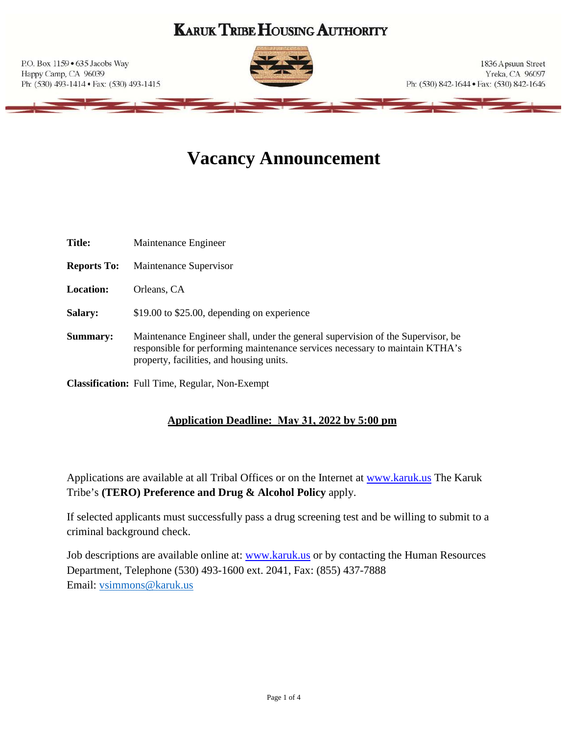## **KARUK TRIBE HOUSING AUTHORITY**

P.O. Box 1159 . 635 Jacobs Way Happy Camp, CA 96039 Ph: (530) 493-1414 · Fax: (530) 493-1415



1836 Apsuun Street Yreka, CA 96097 Ph: (530) 842-1644 · Fax: (530) 842-1646

# **Vacancy Announcement**

| <b>Title:</b>      | Maintenance Engineer                                                                                                                                                                                        |
|--------------------|-------------------------------------------------------------------------------------------------------------------------------------------------------------------------------------------------------------|
| <b>Reports To:</b> | Maintenance Supervisor                                                                                                                                                                                      |
| <b>Location:</b>   | Orleans, CA                                                                                                                                                                                                 |
| <b>Salary:</b>     | \$19.00 to \$25.00, depending on experience                                                                                                                                                                 |
| <b>Summary:</b>    | Maintenance Engineer shall, under the general supervision of the Supervisor, be<br>responsible for performing maintenance services necessary to maintain KTHA's<br>property, facilities, and housing units. |

**Classification:** Full Time, Regular, Non-Exempt

### **Application Deadline: May 31, 2022 by 5:00 pm**

Applications are available at all Tribal Offices or on the Internet at [www.karuk.us](http://www.karuk.us/) The Karuk Tribe's **(TERO) Preference and Drug & Alcohol Policy** apply.

If selected applicants must successfully pass a drug screening test and be willing to submit to a criminal background check.

Job descriptions are available online at: [www.karuk.us](http://www.karuk.us/) or by contacting the Human Resources Department, Telephone (530) 493-1600 ext. 2041, Fax: (855) 437-7888 Email: [vsimmons@karuk.us](mailto:vsimmons@karuk.us)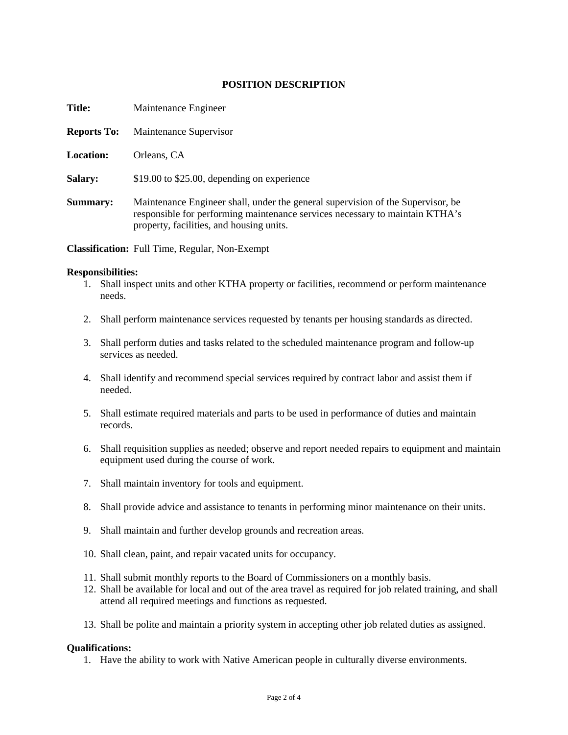#### **POSITION DESCRIPTION**

| <b>Title:</b>      | Maintenance Engineer                                                                                                                                                                                        |
|--------------------|-------------------------------------------------------------------------------------------------------------------------------------------------------------------------------------------------------------|
| <b>Reports To:</b> | Maintenance Supervisor                                                                                                                                                                                      |
| <b>Location:</b>   | Orleans, CA                                                                                                                                                                                                 |
| <b>Salary:</b>     | \$19.00 to \$25.00, depending on experience                                                                                                                                                                 |
| Summary:           | Maintenance Engineer shall, under the general supervision of the Supervisor, be<br>responsible for performing maintenance services necessary to maintain KTHA's<br>property, facilities, and housing units. |

**Classification:** Full Time, Regular, Non-Exempt

#### **Responsibilities:**

- 1. Shall inspect units and other KTHA property or facilities, recommend or perform maintenance needs.
- 2. Shall perform maintenance services requested by tenants per housing standards as directed.
- 3. Shall perform duties and tasks related to the scheduled maintenance program and follow-up services as needed.
- 4. Shall identify and recommend special services required by contract labor and assist them if needed.
- 5. Shall estimate required materials and parts to be used in performance of duties and maintain records.
- 6. Shall requisition supplies as needed; observe and report needed repairs to equipment and maintain equipment used during the course of work.
- 7. Shall maintain inventory for tools and equipment.
- 8. Shall provide advice and assistance to tenants in performing minor maintenance on their units.
- 9. Shall maintain and further develop grounds and recreation areas.
- 10. Shall clean, paint, and repair vacated units for occupancy.
- 11. Shall submit monthly reports to the Board of Commissioners on a monthly basis.
- 12. Shall be available for local and out of the area travel as required for job related training, and shall attend all required meetings and functions as requested.
- 13. Shall be polite and maintain a priority system in accepting other job related duties as assigned.

#### **Qualifications:**

1. Have the ability to work with Native American people in culturally diverse environments.